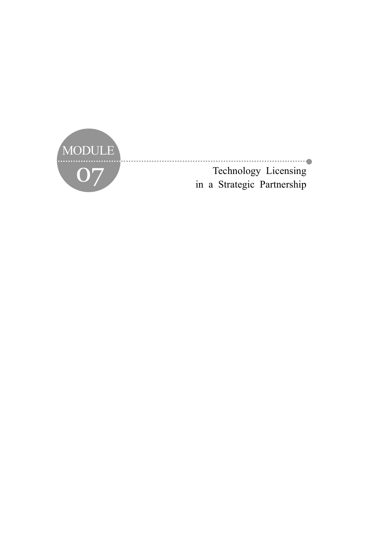

Technology Licensing in a Strategic Partnership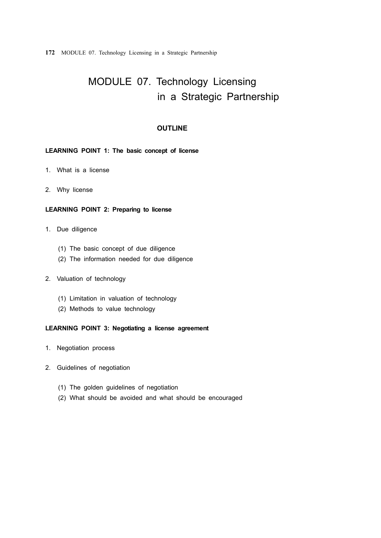**172** MODULE 07. Technology Licensing in a Strategic Partnership

# MODULE 07. Technology Licensing in a Strategic Partnership

# **OUTLINE**

### **LEARNING POINT 1: The basic concept of license**

- 1. What is a license
- 2. Why license

### **LEARNING POINT 2: Preparing to license**

- 1. Due diligence
	- (1) The basic concept of due diligence
	- (2) The information needed for due diligence
- 2. Valuation of technology
	- (1) Limitation in valuation of technology
	- (2) Methods to value technology

### **LEARNING POINT 3: Negotiating a license agreement**

- 1. Negotiation process
- 2. Guidelines of negotiation
	- (1) The golden guidelines of negotiation
	- (2) What should be avoided and what should be encouraged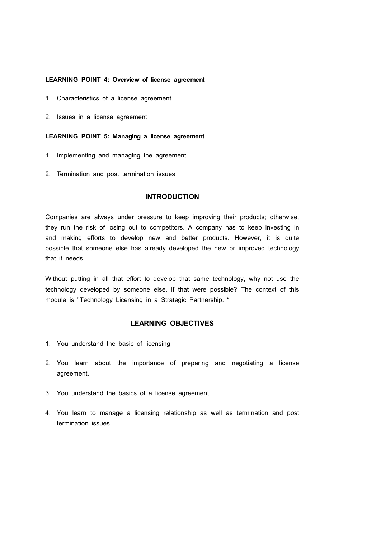### **LEARNING POINT 4: Overview of license agreement**

- 1. Characteristics of a license agreement
- 2. Issues in a license agreement

### **LEARNING POINT 5: Managing a license agreement**

- 1. Implementing and managing the agreement
- 2. Termination and post termination issues

### **INTRODUCTION**

Companies are always under pressure to keep improving their products; otherwise, they run the risk of losing out to competitors. A company has to keep investing in and making efforts to develop new and better products. However, it is quite possible that someone else has already developed the new or improved technology that it needs.

Without putting in all that effort to develop that same technology, why not use the technology developed by someone else, if that were possible? The context of this module is "Technology Licensing in a Strategic Partnership. "

### **LEARNING OBJECTIVES**

- 1. You understand the basic of licensing.
- 2. You learn about the importance of preparing and negotiating a license agreement.
- 3. You understand the basics of a license agreement.
- 4. You learn to manage a licensing relationship as well as termination and post termination issues.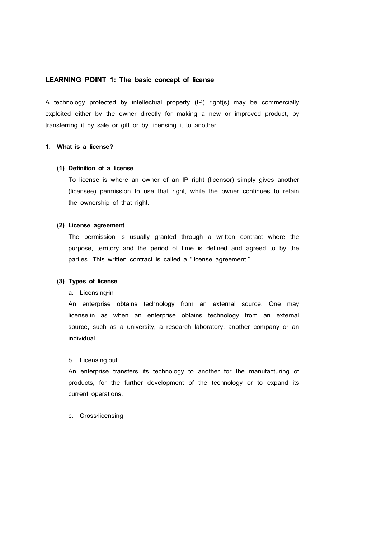### **LEARNING POINT 1: The basic concept of license**

A technology protected by intellectual property (IP) right(s) may be commercially exploited either by the owner directly for making a new or improved product, by transferring it by sale or gift or by licensing it to another.

### **1. What is a license?**

#### **(1) Definition of a license**

To license is where an owner of an IP right (licensor) simply gives another (licensee) permission to use that right, while the owner continues to retain the ownership of that right.

#### **(2) License agreement**

The permission is usually granted through a written contract where the purpose, territory and the period of time is defined and agreed to by the parties. This written contract is called a "license agreement."

#### **(3) Types of license**

### a. Licensing‐in

An enterprise obtains technology from an external source. One may license-in as when an enterprise obtains technology from an external source, such as a university, a research laboratory, another company or an individual.

#### b. Licensing‐out

An enterprise transfers its technology to another for the manufacturing of products, for the further development of the technology or to expand its current operations.

#### c. Cross‐licensing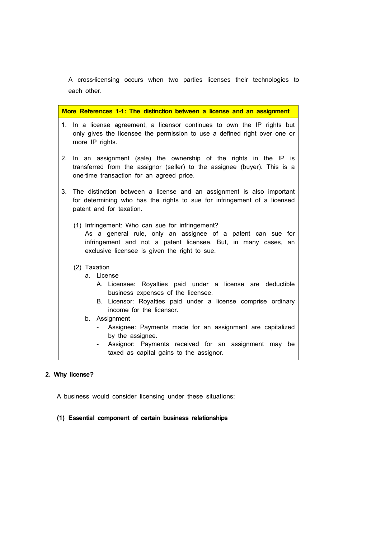A cross‐licensing occurs when two parties licenses their technologies to each other.

| More References 1-1: The distinction between a license and an assignment |                                                                                                                                                                                            |                                                                                                                                                                                                                                   |                                                                                                                                                                       |  |
|--------------------------------------------------------------------------|--------------------------------------------------------------------------------------------------------------------------------------------------------------------------------------------|-----------------------------------------------------------------------------------------------------------------------------------------------------------------------------------------------------------------------------------|-----------------------------------------------------------------------------------------------------------------------------------------------------------------------|--|
| 1.                                                                       |                                                                                                                                                                                            |                                                                                                                                                                                                                                   | In a license agreement, a licensor continues to own the IP rights but<br>only gives the licensee the permission to use a defined right over one or<br>more IP rights. |  |
| 2.                                                                       | In an assignment (sale) the ownership of the rights in the IP is<br>transferred from the assignor (seller) to the assignee (buyer). This is a<br>one-time transaction for an agreed price. |                                                                                                                                                                                                                                   |                                                                                                                                                                       |  |
| 3.                                                                       |                                                                                                                                                                                            | The distinction between a license and an assignment is also important<br>for determining who has the rights to sue for infringement of a licensed<br>patent and for taxation.                                                     |                                                                                                                                                                       |  |
|                                                                          |                                                                                                                                                                                            | (1) Infringement: Who can sue for infringement?<br>As a general rule, only an assignee of a patent can sue for<br>infringement and not a patent licensee. But, in many cases, an<br>exclusive licensee is given the right to sue. |                                                                                                                                                                       |  |
|                                                                          | (2) Taxation                                                                                                                                                                               |                                                                                                                                                                                                                                   |                                                                                                                                                                       |  |
|                                                                          |                                                                                                                                                                                            |                                                                                                                                                                                                                                   | a. License                                                                                                                                                            |  |
|                                                                          |                                                                                                                                                                                            |                                                                                                                                                                                                                                   | A. Licensee: Royalties paid under a license are deductible<br>business expenses of the licensee.                                                                      |  |
|                                                                          |                                                                                                                                                                                            |                                                                                                                                                                                                                                   | B. Licensor: Royalties paid under a license comprise ordinary<br>income for the licensor.                                                                             |  |
|                                                                          |                                                                                                                                                                                            |                                                                                                                                                                                                                                   | b. Assignment                                                                                                                                                         |  |
|                                                                          |                                                                                                                                                                                            |                                                                                                                                                                                                                                   | Assignee: Payments made for an assignment are capitalized<br>by the assignee.                                                                                         |  |
|                                                                          |                                                                                                                                                                                            |                                                                                                                                                                                                                                   | Assignor: Payments received for an assignment may be<br>taxed as capital gains to the assignor.                                                                       |  |

# **2. Why license?**

A business would consider licensing under these situations:

# **(1) Essential component of certain business relationships**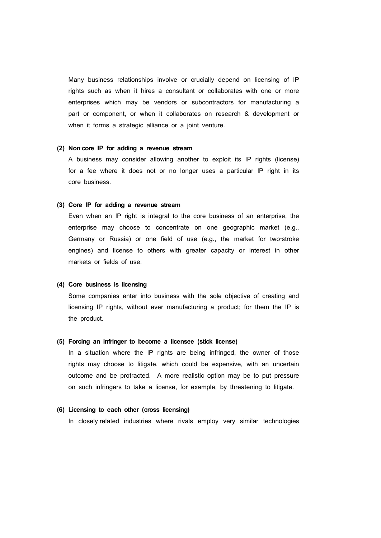Many business relationships involve or crucially depend on licensing of IP rights such as when it hires a consultant or collaborates with one or more enterprises which may be vendors or subcontractors for manufacturing a part or component, or when it collaborates on research & development or when it forms a strategic alliance or a joint venture.

#### **(2) Non**‐**core IP for adding a revenue stream**

A business may consider allowing another to exploit its IP rights (license) for a fee where it does not or no longer uses a particular IP right in its core business.

### **(3) Core IP for adding a revenue stream**

Even when an IP right is integral to the core business of an enterprise, the enterprise may choose to concentrate on one geographic market (e.g., Germany or Russia) or one field of use (e.g., the market for two‐stroke engines) and license to others with greater capacity or interest in other markets or fields of use.

#### **(4) Core business is licensing**

Some companies enter into business with the sole objective of creating and licensing IP rights, without ever manufacturing a product; for them the IP is the product.

### **(5) Forcing an infringer to become a licensee (stick license)**

In a situation where the IP rights are being infringed, the owner of those rights may choose to litigate, which could be expensive, with an uncertain outcome and be protracted. A more realistic option may be to put pressure on such infringers to take a license, for example, by threatening to litigate.

### **(6) Licensing to each other (cross licensing)**

In closely-related industries where rivals employ very similar technologies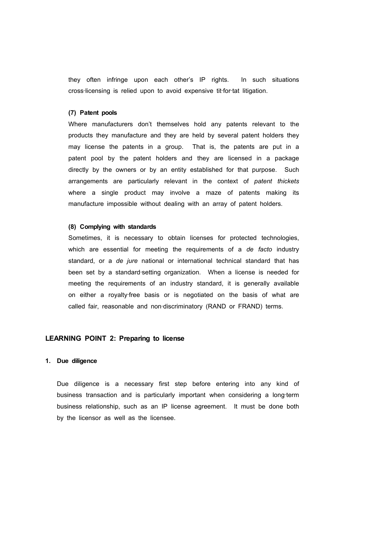they often infringe upon each other's IP rights. In such situations cross‐licensing is relied upon to avoid expensive tit‐for‐tat litigation.

#### **(7) Patent pools**

Where manufacturers don't themselves hold any patents relevant to the products they manufacture and they are held by several patent holders they may license the patents in a group. That is, the patents are put in a patent pool by the patent holders and they are licensed in a package directly by the owners or by an entity established for that purpose. Such arrangements are particularly relevant in the context of *patent thickets* where a single product may involve a maze of patents making its manufacture impossible without dealing with an array of patent holders.

#### **(8) Complying with standards**

Sometimes, it is necessary to obtain licenses for protected technologies, which are essential for meeting the requirements of a *de facto* industry standard, or a *de jure* national or international technical standard that has been set by a standard-setting organization. When a license is needed for meeting the requirements of an industry standard, it is generally available on either a royalty‐free basis or is negotiated on the basis of what are called fair, reasonable and non-discriminatory (RAND or FRAND) terms.

### **LEARNING POINT 2: Preparing to license**

### **1. Due diligence**

Due diligence is a necessary first step before entering into any kind of business transaction and is particularly important when considering a long-term business relationship, such as an IP license agreement. It must be done both by the licensor as well as the licensee.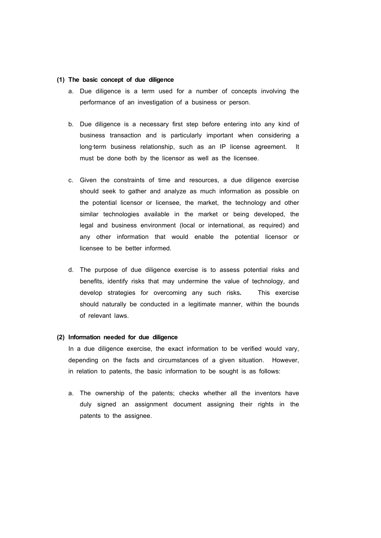### **(1) The basic concept of due diligence**

- a. Due diligence is a term used for a number of concepts involving the performance of an investigation of a business or person.
- b. Due diligence is a necessary first step before entering into any kind of business transaction and is particularly important when considering a long-term business relationship, such as an IP license agreement. It must be done both by the licensor as well as the licensee.
- c. Given the constraints of time and resources, a due diligence exercise should seek to gather and analyze as much information as possible on the potential licensor or licensee, the market, the technology and other similar technologies available in the market or being developed, the legal and business environment (local or international, as required) and any other information that would enable the potential licensor or licensee to be better informed.
- d. The purpose of due diligence exercise is to assess potential risks and benefits, identify risks that may undermine the value of technology, and develop strategies for overcoming any such risks**.** This exercise should naturally be conducted in a legitimate manner, within the bounds of relevant laws.

#### **(2) Information needed for due diligence**

In a due diligence exercise, the exact information to be verified would vary, depending on the facts and circumstances of a given situation. However, in relation to patents, the basic information to be sought is as follows:

a. The ownership of the patents; checks whether all the inventors have duly signed an assignment document assigning their rights in the patents to the assignee.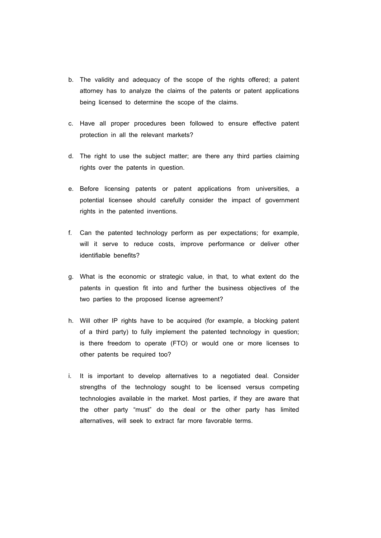- b. The validity and adequacy of the scope of the rights offered; a patent attorney has to analyze the claims of the patents or patent applications being licensed to determine the scope of the claims.
- c. Have all proper procedures been followed to ensure effective patent protection in all the relevant markets?
- d. The right to use the subject matter; are there any third parties claiming rights over the patents in question.
- e. Before licensing patents or patent applications from universities, a potential licensee should carefully consider the impact of government rights in the patented inventions.
- f. Can the patented technology perform as per expectations; for example, will it serve to reduce costs, improve performance or deliver other identifiable benefits?
- g. What is the economic or strategic value, in that, to what extent do the patents in question fit into and further the business objectives of the two parties to the proposed license agreement?
- h. Will other IP rights have to be acquired (for example, a blocking patent of a third party) to fully implement the patented technology in question; is there freedom to operate (FTO) or would one or more licenses to other patents be required too?
- i. It is important to develop alternatives to a negotiated deal. Consider strengths of the technology sought to be licensed versus competing technologies available in the market. Most parties, if they are aware that the other party "must" do the deal or the other party has limited alternatives, will seek to extract far more favorable terms.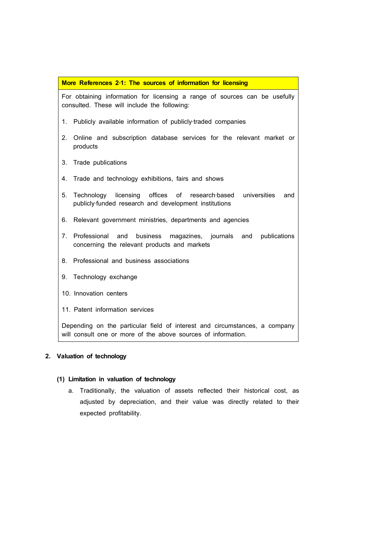### **More References 2**‐**1: The sources of information for licensing**

For obtaining information for licensing a range of sources can be usefully consulted. These will include the following:

- 1. Publicly available information of publicly-traded companies
- 2. Online and subscription database services for the relevant market or products
- 3. Trade publications
- 4. Trade and technology exhibitions, fairs and shows
- 5. Technology licensing offices of research-based universities and publicly‐funded research and development institutions
- 6. Relevant government ministries, departments and agencies
- 7. Professional and business magazines, journals and publications concerning the relevant products and markets
- 8. Professional and business associations
- 9. Technology exchange
- 10. Innovation centers
- 11. Patent information services

Depending on the particular field of interest and circumstances, a company will consult one or more of the above sources of information.

### **2. Valuation of technology**

### **(1) Limitation in valuation of technology**

a. Traditionally, the valuation of assets reflected their historical cost, as adjusted by depreciation, and their value was directly related to their expected profitability.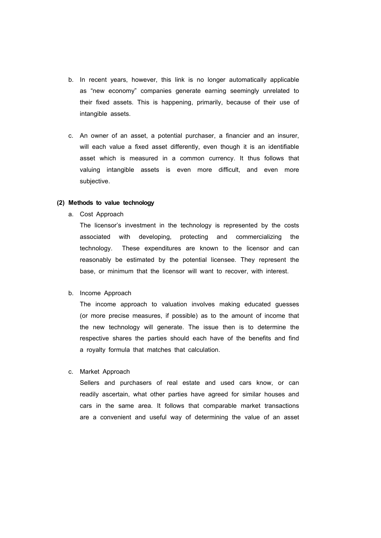- b. In recent years, however, this link is no longer automatically applicable as "new economy" companies generate earning seemingly unrelated to their fixed assets. This is happening, primarily, because of their use of intangible assets.
- c. An owner of an asset, a potential purchaser, a financier and an insurer, will each value a fixed asset differently, even though it is an identifiable asset which is measured in a common currency. It thus follows that valuing intangible assets is even more difficult, and even more subjective.

### **(2) Methods to value technology**

a. Cost Approach

The licensor's investment in the technology is represented by the costs associated with developing, protecting and commercializing the technology. These expenditures are known to the licensor and can reasonably be estimated by the potential licensee. They represent the base, or minimum that the licensor will want to recover, with interest.

b. Income Approach

The income approach to valuation involves making educated guesses (or more precise measures, if possible) as to the amount of income that the new technology will generate. The issue then is to determine the respective shares the parties should each have of the benefits and find a royalty formula that matches that calculation.

c. Market Approach

Sellers and purchasers of real estate and used cars know, or can readily ascertain, what other parties have agreed for similar houses and cars in the same area. It follows that comparable market transactions are a convenient and useful way of determining the value of an asset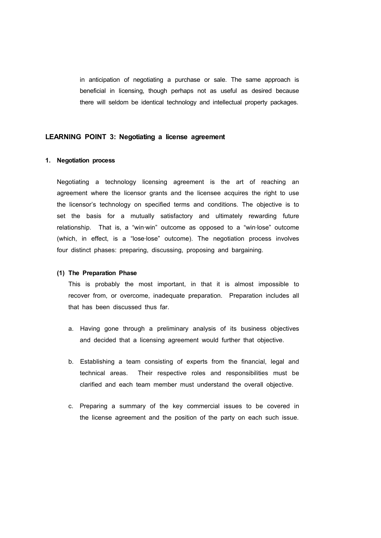in anticipation of negotiating a purchase or sale. The same approach is beneficial in licensing, though perhaps not as useful as desired because there will seldom be identical technology and intellectual property packages.

### **LEARNING POINT 3: Negotiating a license agreement**

### **1. Negotiation process**

Negotiating a technology licensing agreement is the art of reaching an agreement where the licensor grants and the licensee acquires the right to use the licensor's technology on specified terms and conditions. The objective is to set the basis for a mutually satisfactory and ultimately rewarding future relationship. That is, a "win‐win" outcome as opposed to a "win‐lose" outcome (which, in effect, is a "lose‐lose" outcome). The negotiation process involves four distinct phases: preparing, discussing, proposing and bargaining.

### **(1) The Preparation Phase**

This is probably the most important, in that it is almost impossible to recover from, or overcome, inadequate preparation. Preparation includes all that has been discussed thus far.

- a. Having gone through a preliminary analysis of its business objectives and decided that a licensing agreement would further that objective.
- b. Establishing a team consisting of experts from the financial, legal and technical areas. Their respective roles and responsibilities must be clarified and each team member must understand the overall objective.
- c. Preparing a summary of the key commercial issues to be covered in the license agreement and the position of the party on each such issue.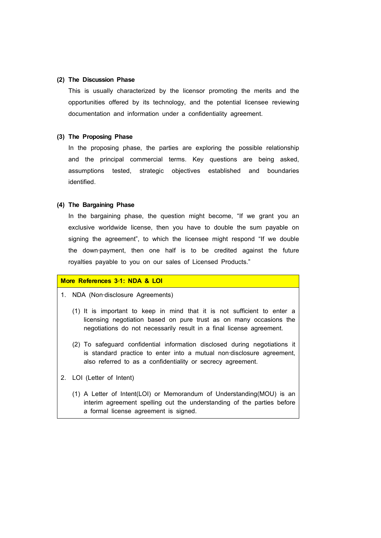### **(2) The Discussion Phase**

This is usually characterized by the licensor promoting the merits and the opportunities offered by its technology, and the potential licensee reviewing documentation and information under a confidentiality agreement.

### **(3) The Proposing Phase**

In the proposing phase, the parties are exploring the possible relationship and the principal commercial terms. Key questions are being asked, assumptions tested, strategic objectives established and boundaries identified.

### **(4) The Bargaining Phase**

In the bargaining phase, the question might become, "If we grant you an exclusive worldwide license, then you have to double the sum payable on signing the agreement", to which the licensee might respond "If we double the down‐payment, then one half is to be credited against the future royalties payable to you on our sales of Licensed Products."

### **More References 3**‐**1: NDA & LOI**

- 1. NDA (Non‐disclosure Agreements)
	- (1) It is important to keep in mind that it is not sufficient to enter a licensing negotiation based on pure trust as on many occasions the negotiations do not necessarily result in a final license agreement.
	- (2) To safeguard confidential information disclosed during negotiations it is standard practice to enter into a mutual non-disclosure agreement, also referred to as a confidentiality or secrecy agreement.
- 2. LOI (Letter of Intent)
	- (1) A Letter of Intent(LOI) or Memorandum of Understanding(MOU) is an interim agreement spelling out the understanding of the parties before a formal license agreement is signed.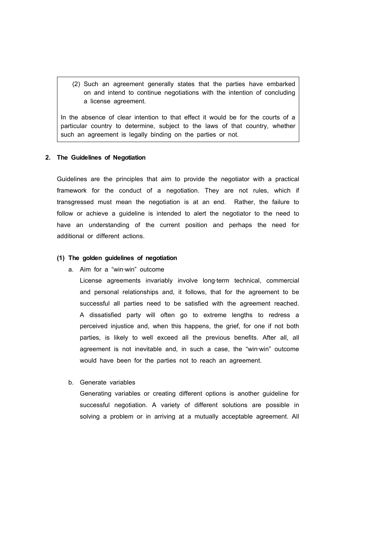(2) Such an agreement generally states that the parties have embarked on and intend to continue negotiations with the intention of concluding a license agreement.

In the absence of clear intention to that effect it would be for the courts of a particular country to determine, subject to the laws of that country, whether such an agreement is legally binding on the parties or not.

#### **2. The Guidelines of Negotiation**

Guidelines are the principles that aim to provide the negotiator with a practical framework for the conduct of a negotiation. They are not rules, which if transgressed must mean the negotiation is at an end. Rather, the failure to follow or achieve a guideline is intended to alert the negotiator to the need to have an understanding of the current position and perhaps the need for additional or different actions.

### **(1) The golden guidelines of negotiation**

a. Aim for a "win‐win" outcome

License agreements invariably involve long-term technical, commercial and personal relationships and, it follows, that for the agreement to be successful all parties need to be satisfied with the agreement reached. A dissatisfied party will often go to extreme lengths to redress a perceived injustice and, when this happens, the grief, for one if not both parties, is likely to well exceed all the previous benefits. After all, all agreement is not inevitable and, in such a case, the "win-win" outcome would have been for the parties not to reach an agreement.

b. Generate variables

Generating variables or creating different options is another guideline for successful negotiation. A variety of different solutions are possible in solving a problem or in arriving at a mutually acceptable agreement. All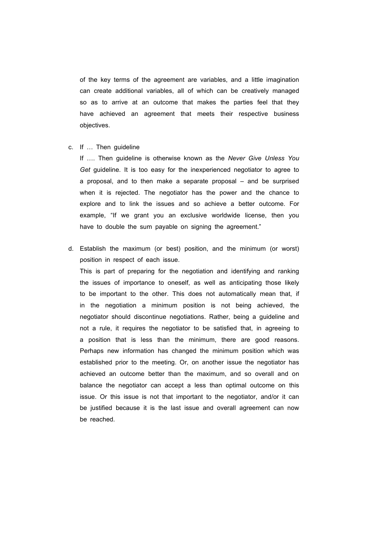of the key terms of the agreement are variables, and a little imagination can create additional variables, all of which can be creatively managed so as to arrive at an outcome that makes the parties feel that they have achieved an agreement that meets their respective business objectives.

c. If … Then guideline

If …. Then guideline is otherwise known as the *Never Give Unless You Get* guideline. It is too easy for the inexperienced negotiator to agree to a proposal, and to then make a separate proposal – and be surprised when it is rejected. The negotiator has the power and the chance to explore and to link the issues and so achieve a better outcome. For example, "If we grant you an exclusive worldwide license, then you have to double the sum payable on signing the agreement."

d. Establish the maximum (or best) position, and the minimum (or worst) position in respect of each issue.

This is part of preparing for the negotiation and identifying and ranking the issues of importance to oneself, as well as anticipating those likely to be important to the other. This does not automatically mean that, if in the negotiation a minimum position is not being achieved, the negotiator should discontinue negotiations. Rather, being a guideline and not a rule, it requires the negotiator to be satisfied that, in agreeing to a position that is less than the minimum, there are good reasons. Perhaps new information has changed the minimum position which was established prior to the meeting. Or, on another issue the negotiator has achieved an outcome better than the maximum, and so overall and on balance the negotiator can accept a less than optimal outcome on this issue. Or this issue is not that important to the negotiator, and/or it can be justified because it is the last issue and overall agreement can now be reached.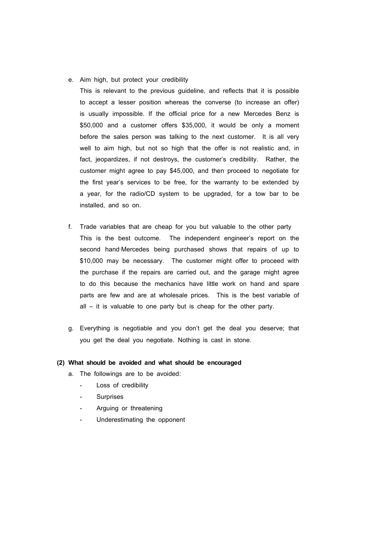e. Aim high, but protect your credibility

This is relevant to the previous guideline, and reflects that it is possible to accept a lesser position whereas the converse (to increase an offer) is usually impossible. If the official price for a new Mercedes Benz is \$50,000 and a customer offers \$35,000, it would be only a moment before the sales person was talking to the next customer. It is all very well to aim high, but not so high that the offer is not realistic and, in fact, jeopardizes, if not destroys, the customer's credibility. Rather, the customer might agree to pay \$45,000, and then proceed to negotiate for the first year's services to be free, for the warranty to be extended by a year, for the radio/CD system to be upgraded, for a tow bar to be installed, and so on.

- f. Trade variables that are cheap for you but valuable to the other party This is the best outcome. The independent engineer's report on the second hand-Mercedes being purchased shows that repairs of up to \$10,000 may be necessary. The customer might offer to proceed with the purchase if the repairs are carried out, and the garage might agree to do this because the mechanics have little work on hand and spare parts are few and are at wholesale prices. This is the best variable of all – it is valuable to one party but is cheap for the other party.
- g. Everything is negotiable and you don't get the deal you deserve; that you get the deal you negotiate. Nothing is cast in stone.

### **(2) What should be avoided and what should be encouraged**

- a. The followings are to be avoided:
	- Loss of credibility
	- **Surprises**
	- Arguing or threatening
	- Underestimating the opponent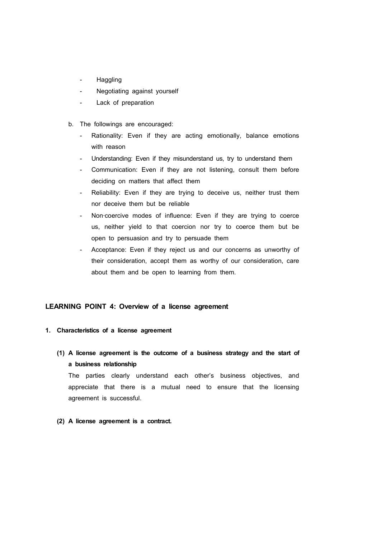- Haggling
- Negotiating against yourself
- Lack of preparation
- b. The followings are encouraged:
	- Rationality: Even if they are acting emotionally, balance emotions with reason
	- Understanding: Even if they misunderstand us, try to understand them
	- Communication: Even if they are not listening, consult them before deciding on matters that affect them
	- Reliability: Even if they are trying to deceive us, neither trust them nor deceive them but be reliable
	- Non-coercive modes of influence: Even if they are trying to coerce us, neither yield to that coercion nor try to coerce them but be open to persuasion and try to persuade them
	- Acceptance: Even if they reject us and our concerns as unworthy of their consideration, accept them as worthy of our consideration, care about them and be open to learning from them.

### **LEARNING POINT 4: Overview of a license agreement**

### **1. Characteristics of a license agreement**

**(1) A license agreement is the outcome of a business strategy and the start of a business relationship**

The parties clearly understand each other's business objectives, and appreciate that there is a mutual need to ensure that the licensing agreement is successful.

**(2) A license agreement is a contract.**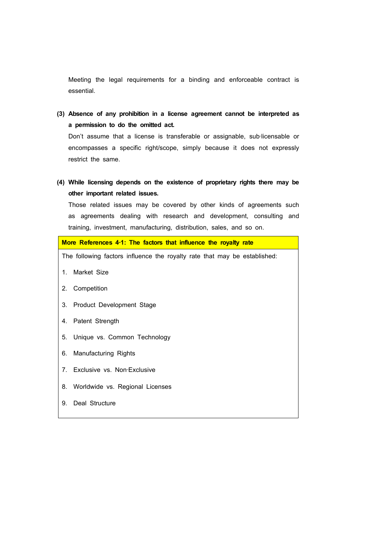Meeting the legal requirements for a binding and enforceable contract is essential.

**(3) Absence of any prohibition in a license agreement cannot be interpreted as a permission to do the omitted act.** Don't assume that a license is transferable or assignable, sub-licensable or

encompasses a specific right/scope, simply because it does not expressly restrict the same.

**(4) While licensing depends on the existence of proprietary rights there may be other important related issues.**

Those related issues may be covered by other kinds of agreements such as agreements dealing with research and development, consulting and training, investment, manufacturing, distribution, sales, and so on.

**More References 4**‐**1: The factors that influence the royalty rate** The following factors influence the royalty rate that may be established: 1. Market Size 2. Competition 3. Product Development Stage 4. Patent Strength 5. Unique vs. Common Technology 6. Manufacturing Rights 7. Exclusive vs. Non‐Exclusive 8. Worldwide vs. Regional Licenses 9. Deal Structure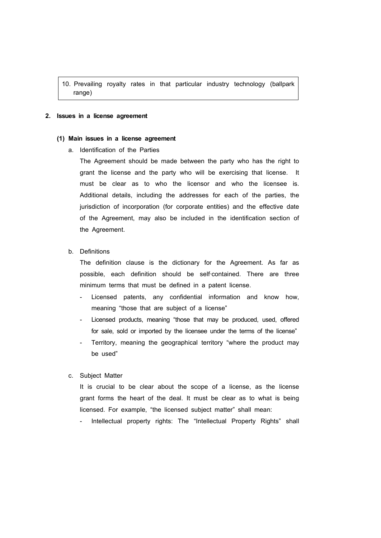10. Prevailing royalty rates in that particular industry technology (ballpark range)

#### **2. Issues in a license agreement**

#### **(1) Main issues in a license agreement**

a. Identification of the Parties

The Agreement should be made between the party who has the right to grant the license and the party who will be exercising that license. It must be clear as to who the licensor and who the licensee is. Additional details, including the addresses for each of the parties, the jurisdiction of incorporation (for corporate entities) and the effective date of the Agreement, may also be included in the identification section of the Agreement.

### b. Definitions

The definition clause is the dictionary for the Agreement. As far as possible, each definition should be self‐contained. There are three minimum terms that must be defined in a patent license.

- Licensed patents, any confidential information and know how, meaning "those that are subject of a license"
- Licensed products, meaning "those that may be produced, used, offered for sale, sold or imported by the licensee under the terms of the license"
- Territory, meaning the geographical territory "where the product may be used"

### c. Subject Matter

It is crucial to be clear about the scope of a license, as the license grant forms the heart of the deal. It must be clear as to what is being licensed. For example, "the licensed subject matter" shall mean:

Intellectual property rights: The "Intellectual Property Rights" shall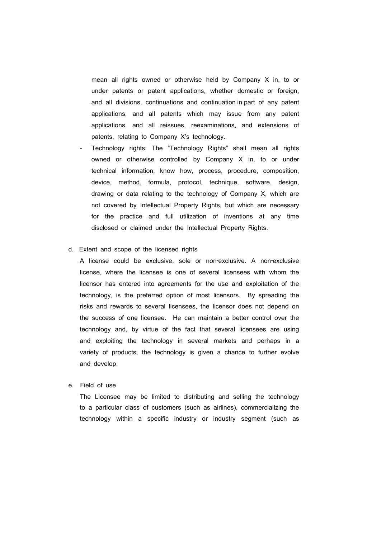mean all rights owned or otherwise held by Company X in, to or under patents or patent applications, whether domestic or foreign, and all divisions, continuations and continuation-in-part of any patent applications, and all patents which may issue from any patent applications, and all reissues, reexaminations, and extensions of patents, relating to Company X's technology.

Technology rights: The "Technology Rights" shall mean all rights owned or otherwise controlled by Company X in, to or under technical information, know how, process, procedure, composition, device, method, formula, protocol, technique, software, design, drawing or data relating to the technology of Company X, which are not covered by Intellectual Property Rights, but which are necessary for the practice and full utilization of inventions at any time disclosed or claimed under the Intellectual Property Rights.

#### d. Extent and scope of the licensed rights

A license could be exclusive, sole or non-exclusive. A non-exclusive license, where the licensee is one of several licensees with whom the licensor has entered into agreements for the use and exploitation of the technology, is the preferred option of most licensors. By spreading the risks and rewards to several licensees, the licensor does not depend on the success of one licensee. He can maintain a better control over the technology and, by virtue of the fact that several licensees are using and exploiting the technology in several markets and perhaps in a variety of products, the technology is given a chance to further evolve and develop.

e. Field of use

The Licensee may be limited to distributing and selling the technology to a particular class of customers (such as airlines), commercializing the technology within a specific industry or industry segment (such as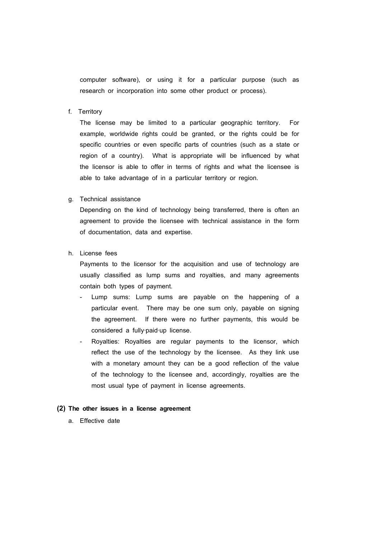computer software), or using it for a particular purpose (such as research or incorporation into some other product or process).

f. Territory

The license may be limited to a particular geographic territory. For example, worldwide rights could be granted, or the rights could be for specific countries or even specific parts of countries (such as a state or region of a country). What is appropriate will be influenced by what the licensor is able to offer in terms of rights and what the licensee is able to take advantage of in a particular territory or region.

#### g. Technical assistance

Depending on the kind of technology being transferred, there is often an agreement to provide the licensee with technical assistance in the form of documentation, data and expertise.

h. License fees

Payments to the licensor for the acquisition and use of technology are usually classified as lump sums and royalties, and many agreements contain both types of payment.

- Lump sums: Lump sums are payable on the happening of a particular event. There may be one sum only, payable on signing the agreement. If there were no further payments, this would be considered a fully‐paid‐up license.
- Royalties: Royalties are regular payments to the licensor, which reflect the use of the technology by the licensee. As they link use with a monetary amount they can be a good reflection of the value of the technology to the licensee and, accordingly, royalties are the most usual type of payment in license agreements.

### **(2) The other issues in a license agreement**

a. Effective date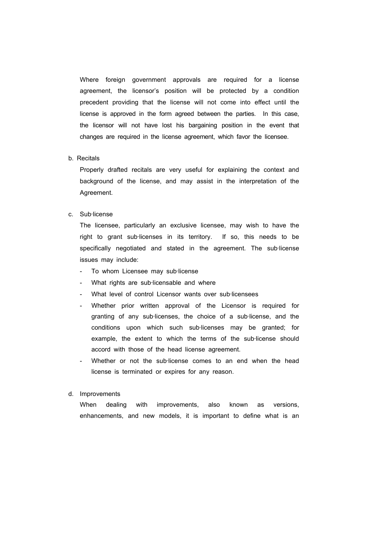Where foreign government approvals are required for a license agreement, the licensor's position will be protected by a condition precedent providing that the license will not come into effect until the license is approved in the form agreed between the parties. In this case, the licensor will not have lost his bargaining position in the event that changes are required in the license agreement, which favor the licensee.

#### b. Recitals

Properly drafted recitals are very useful for explaining the context and background of the license, and may assist in the interpretation of the Agreement.

c. Sub‐license

The licensee, particularly an exclusive licensee, may wish to have the right to grant sub-licenses in its territory. If so, this needs to be specifically negotiated and stated in the agreement. The sub-license issues may include:

- To whom Licensee may sub-license
- What rights are sub-licensable and where
- What level of control Licensor wants over sub-licensees
- Whether prior written approval of the Licensor is required for granting of any sub-licenses, the choice of a sub-license, and the conditions upon which such sub-licenses may be granted; for example, the extent to which the terms of the sub-license should accord with those of the head license agreement.
- Whether or not the sub-license comes to an end when the head license is terminated or expires for any reason.
- d. Improvements

When dealing with improvements, also known as versions, enhancements, and new models, it is important to define what is an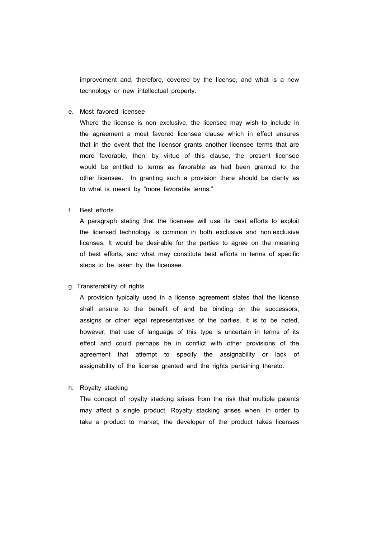improvement and, therefore, covered by the license, and what is a new technology or new intellectual property.

e. Most favored licensee

Where the license is non exclusive, the licensee may wish to include in the agreement a most favored licensee clause which in effect ensures that in the event that the licensor grants another licensee terms that are more favorable, then, by virtue of this clause, the present licensee would be entitled to terms as favorable as had been granted to the other licensee. In granting such a provision there should be clarity as to what is meant by "more favorable terms."

f. Best efforts

A paragraph stating that the licensee will use its best efforts to exploit the licensed technology is common in both exclusive and non‐exclusive licenses. It would be desirable for the parties to agree on the meaning of best efforts, and what may constitute best efforts in terms of specific steps to be taken by the licensee.

#### g. Transferability of rights

A provision typically used in a license agreement states that the license shall ensure to the benefit of and be binding on the successors, assigns or other legal representatives of the parties. It is to be noted, however, that use of language of this type is uncertain in terms of its effect and could perhaps be in conflict with other provisions of the agreement that attempt to specify the assignability or lack of assignability of the license granted and the rights pertaining thereto.

h. Royalty stacking

The concept of royalty stacking arises from the risk that multiple patents may affect a single product. Royalty stacking arises when, in order to take a product to market, the developer of the product takes licenses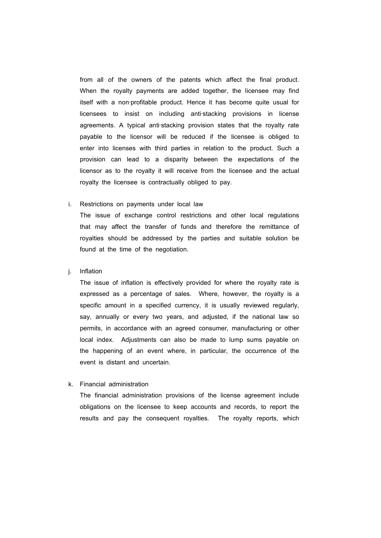from all of the owners of the patents which affect the final product. When the royalty payments are added together, the licensee may find itself with a non‐profitable product. Hence it has become quite usual for licensees to insist on including anti‐stacking provisions in license agreements. A typical anti-stacking provision states that the royalty rate payable to the licensor will be reduced if the licensee is obliged to enter into licenses with third parties in relation to the product. Such a provision can lead to a disparity between the expectations of the licensor as to the royalty it will receive from the licensee and the actual royalty the licensee is contractually obliged to pay.

#### i. Restrictions on payments under local law

The issue of exchange control restrictions and other local regulations that may affect the transfer of funds and therefore the remittance of royalties should be addressed by the parties and suitable solution be found at the time of the negotiation.

### j. Inflation

The issue of inflation is effectively provided for where the royalty rate is expressed as a percentage of sales. Where, however, the royalty is a specific amount in a specified currency, it is usually reviewed regularly, say, annually or every two years, and adjusted, if the national law so permits, in accordance with an agreed consumer, manufacturing or other local index. Adjustments can also be made to lump sums payable on the happening of an event where, in particular, the occurrence of the event is distant and uncertain.

### k. Financial administration

The financial administration provisions of the license agreement include obligations on the licensee to keep accounts and records, to report the results and pay the consequent royalties. The royalty reports, which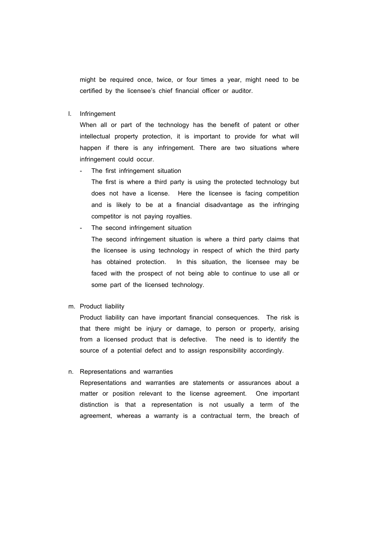might be required once, twice, or four times a year, might need to be certified by the licensee's chief financial officer or auditor.

l. Infringement

When all or part of the technology has the benefit of patent or other intellectual property protection, it is important to provide for what will happen if there is any infringement. There are two situations where infringement could occur.

The first infringement situation

The first is where a third party is using the protected technology but does not have a license. Here the licensee is facing competition and is likely to be at a financial disadvantage as the infringing competitor is not paying royalties.

- The second infringement situation The second infringement situation is where a third party claims that the licensee is using technology in respect of which the third party has obtained protection. In this situation, the licensee may be faced with the prospect of not being able to continue to use all or some part of the licensed technology.
- m. Product liability

Product liability can have important financial consequences. The risk is that there might be injury or damage, to person or property, arising from a licensed product that is defective. The need is to identify the source of a potential defect and to assign responsibility accordingly.

### n. Representations and warranties

Representations and warranties are statements or assurances about a matter or position relevant to the license agreement. One important distinction is that a representation is not usually a term of the agreement, whereas a warranty is a contractual term, the breach of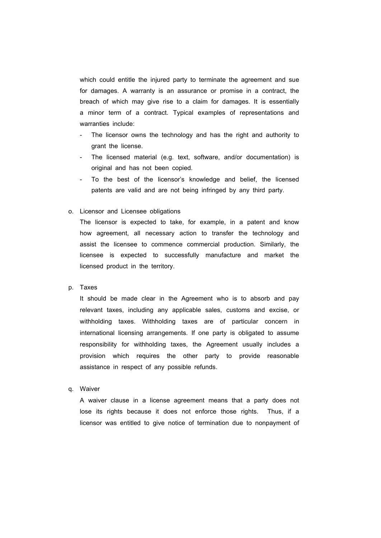which could entitle the injured party to terminate the agreement and sue for damages. A warranty is an assurance or promise in a contract, the breach of which may give rise to a claim for damages. It is essentially a minor term of a contract. Typical examples of representations and warranties include:<br>- The licensor owns the technology and has the right and authority to

- grant the license.
- The licensed material (e.g. text, software, and/or documentation) is original and has not been copied.
- To the best of the licensor's knowledge and belief, the licensed patents are valid and are not being infringed by any third party.
- o. Licensor and Licensee obligations

The licensor is expected to take, for example, in a patent and know how agreement, all necessary action to transfer the technology and assist the licensee to commence commercial production. Similarly, the licensee is expected to successfully manufacture and market the licensed product in the territory.

p. Taxes

It should be made clear in the Agreement who is to absorb and pay relevant taxes, including any applicable sales, customs and excise, or withholding taxes. Withholding taxes are of particular concern in international licensing arrangements. If one party is obligated to assume responsibility for withholding taxes, the Agreement usually includes a provision which requires the other party to provide reasonable assistance in respect of any possible refunds.

q. Waiver

A waiver clause in a license agreement means that a party does not lose its rights because it does not enforce those rights. Thus, if a licensor was entitled to give notice of termination due to nonpayment of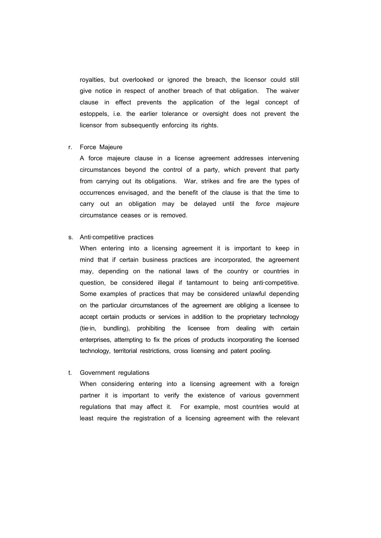royalties, but overlooked or ignored the breach, the licensor could still give notice in respect of another breach of that obligation. The waiver clause in effect prevents the application of the legal concept of estoppels, i.e. the earlier tolerance or oversight does not prevent the licensor from subsequently enforcing its rights.

#### r. Force Majeure

A force majeure clause in a license agreement addresses intervening circumstances beyond the control of a party, which prevent that party from carrying out its obligations. War, strikes and fire are the types of occurrences envisaged, and the benefit of the clause is that the time to carry out an obligation may be delayed until the *force majeure*  circumstance ceases or is removed.

### s. Anti-competitive practices

When entering into a licensing agreement it is important to keep in mind that if certain business practices are incorporated, the agreement may, depending on the national laws of the country or countries in question, be considered illegal if tantamount to being anti-competitive. Some examples of practices that may be considered unlawful depending on the particular circumstances of the agreement are obliging a licensee to accept certain products or services in addition to the proprietary technology (tie‐in, bundling), prohibiting the licensee from dealing with certain enterprises, attempting to fix the prices of products incorporating the licensed technology, territorial restrictions, cross licensing and patent pooling.

#### t. Government regulations

When considering entering into a licensing agreement with a foreign partner it is important to verify the existence of various government regulations that may affect it. For example, most countries would at least require the registration of a licensing agreement with the relevant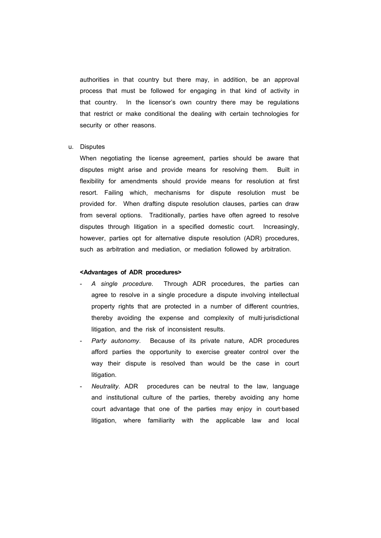authorities in that country but there may, in addition, be an approval process that must be followed for engaging in that kind of activity in that country. In the licensor's own country there may be regulations that restrict or make conditional the dealing with certain technologies for security or other reasons.

#### u. Disputes

When negotiating the license agreement, parties should be aware that disputes might arise and provide means for resolving them. Built in flexibility for amendments should provide means for resolution at first resort. Failing which, mechanisms for dispute resolution must be provided for. When drafting dispute resolution clauses, parties can draw from several options. Traditionally, parties have often agreed to resolve disputes through litigation in a specified domestic court. Increasingly, however, parties opt for alternative dispute resolution (ADR) procedures, such as arbitration and mediation, or mediation followed by arbitration.

#### **<Advantages of ADR procedures>**

- *A single procedure*. Through ADR procedures, the parties can agree to resolve in a single procedure a dispute involving intellectual property rights that are protected in a number of different countries, thereby avoiding the expense and complexity of multi-jurisdictional litigation, and the risk of inconsistent results.
- Party autonomy. Because of its private nature, ADR procedures afford parties the opportunity to exercise greater control over the way their dispute is resolved than would be the case in court litigation.
- *Neutrality*. ADR procedures can be neutral to the law, language and institutional culture of the parties, thereby avoiding any home court advantage that one of the parties may enjoy in court-based litigation, where familiarity with the applicable law and local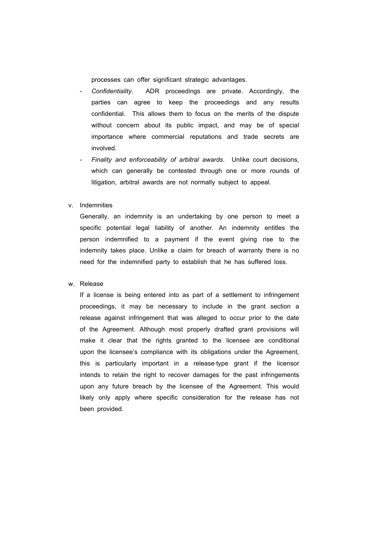processes can offer significant strategic advantages.

- *Confidentiality*. ADR proceedings are private. Accordingly, the parties can agree to keep the proceedings and any results confidential. This allows them to focus on the merits of the dispute without concern about its public impact, and may be of special importance where commercial reputations and trade secrets are involved.
- *Finality and enforceability of arbitral awards*. Unlike court decisions, which can generally be contested through one or more rounds of litigation, arbitral awards are not normally subject to appeal.
- v. Indemnities

Generally, an indemnity is an undertaking by one person to meet a specific potential legal liability of another. An indemnity entitles the person indemnified to a payment if the event giving rise to the indemnity takes place. Unlike a claim for breach of warranty there is no need for the indemnified party to establish that he has suffered loss.

### w. Release

If a license is being entered into as part of a settlement to infringement proceedings, it may be necessary to include in the grant section a release against infringement that was alleged to occur prior to the date of the Agreement. Although most properly drafted grant provisions will make it clear that the rights granted to the licensee are conditional upon the licensee's compliance with its obligations under the Agreement, this is particularly important in a release‐type grant if the licensor intends to retain the right to recover damages for the past infringements upon any future breach by the licensee of the Agreement. This would likely only apply where specific consideration for the release has not been provided.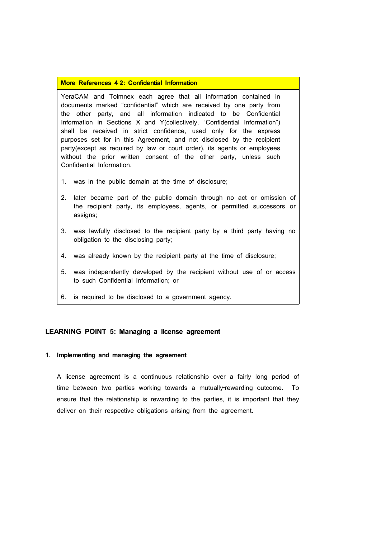### **More References 4**‐**2: Confidential Information**

YeraCAM and Tolmnex each agree that all information contained in documents marked "confidential" which are received by one party from the other party, and all information indicated to be Confidential Information in Sections X and Y(collectively, "Confidential Information") shall be received in strict confidence, used only for the express purposes set for in this Agreement, and not disclosed by the recipient party(except as required by law or court order), its agents or employees without the prior written consent of the other party, unless such Confidential Information.

- 1. was in the public domain at the time of disclosure;
- 2. later became part of the public domain through no act or omission of the recipient party, its employees, agents, or permitted successors or assigns;
- 3. was lawfully disclosed to the recipient party by a third party having no obligation to the disclosing party;
- 4. was already known by the recipient party at the time of disclosure;
- 5. was independently developed by the recipient without use of or access to such Confidential Information; or
- 6. is required to be disclosed to a government agency.

### **LEARNING POINT 5: Managing a license agreement**

#### **1. Implementing and managing the agreement**

A license agreement is a continuous relationship over a fairly long period of time between two parties working towards a mutually-rewarding outcome. To ensure that the relationship is rewarding to the parties, it is important that they deliver on their respective obligations arising from the agreement.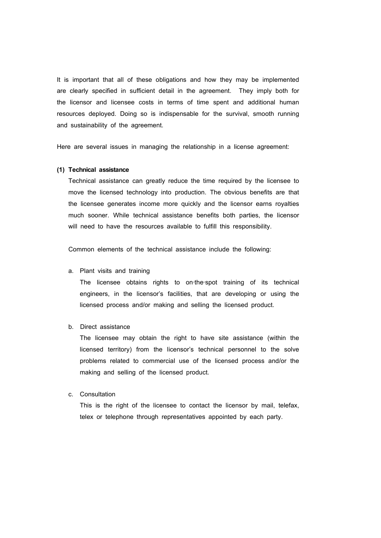It is important that all of these obligations and how they may be implemented are clearly specified in sufficient detail in the agreement. They imply both for the licensor and licensee costs in terms of time spent and additional human resources deployed. Doing so is indispensable for the survival, smooth running and sustainability of the agreement.

Here are several issues in managing the relationship in a license agreement:

#### **(1) Technical assistance**

Technical assistance can greatly reduce the time required by the licensee to move the licensed technology into production. The obvious benefits are that the licensee generates income more quickly and the licensor earns royalties much sooner. While technical assistance benefits both parties, the licensor will need to have the resources available to fulfill this responsibility.

Common elements of the technical assistance include the following:

#### a. Plant visits and training

The licensee obtains rights to on-the-spot training of its technical engineers, in the licensor's facilities, that are developing or using the licensed process and/or making and selling the licensed product.

b. Direct assistance

The licensee may obtain the right to have site assistance (within the licensed territory) from the licensor's technical personnel to the solve problems related to commercial use of the licensed process and/or the making and selling of the licensed product.

c. Consultation

This is the right of the licensee to contact the licensor by mail, telefax, telex or telephone through representatives appointed by each party.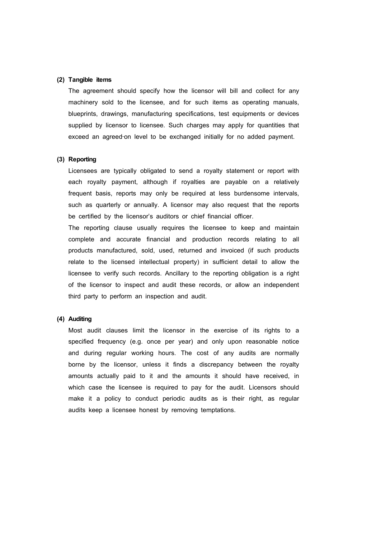### **(2) Tangible items**

The agreement should specify how the licensor will bill and collect for any machinery sold to the licensee, and for such items as operating manuals, blueprints, drawings, manufacturing specifications, test equipments or devices supplied by licensor to licensee. Such charges may apply for quantities that exceed an agreed-on level to be exchanged initially for no added payment.

#### **(3) Reporting**

Licensees are typically obligated to send a royalty statement or report with each royalty payment, although if royalties are payable on a relatively frequent basis, reports may only be required at less burdensome intervals, such as quarterly or annually. A licensor may also request that the reports be certified by the licensor's auditors or chief financial officer.

The reporting clause usually requires the licensee to keep and maintain complete and accurate financial and production records relating to all products manufactured, sold, used, returned and invoiced (if such products relate to the licensed intellectual property) in sufficient detail to allow the licensee to verify such records. Ancillary to the reporting obligation is a right of the licensor to inspect and audit these records, or allow an independent third party to perform an inspection and audit.

#### **(4) Auditing**

Most audit clauses limit the licensor in the exercise of its rights to a specified frequency (e.g. once per year) and only upon reasonable notice and during regular working hours. The cost of any audits are normally borne by the licensor, unless it finds a discrepancy between the royalty amounts actually paid to it and the amounts it should have received, in which case the licensee is required to pay for the audit. Licensors should make it a policy to conduct periodic audits as is their right, as regular audits keep a licensee honest by removing temptations.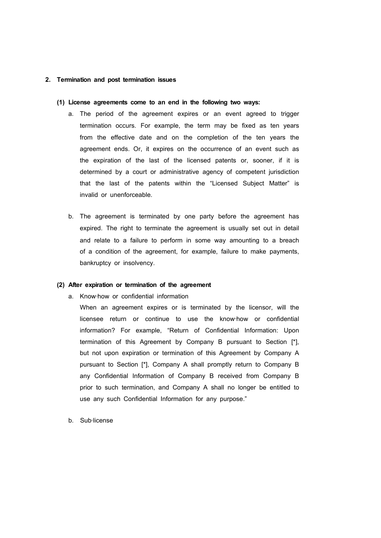#### **2. Termination and post termination issues**

#### **(1) License agreements come to an end in the following two ways:**

- a. The period of the agreement expires or an event agreed to trigger termination occurs. For example, the term may be fixed as ten years from the effective date and on the completion of the ten years the agreement ends. Or, it expires on the occurrence of an event such as the expiration of the last of the licensed patents or, sooner, if it is determined by a court or administrative agency of competent jurisdiction that the last of the patents within the "Licensed Subject Matter" is invalid or unenforceable.
- b. The agreement is terminated by one party before the agreement has expired. The right to terminate the agreement is usually set out in detail and relate to a failure to perform in some way amounting to a breach of a condition of the agreement, for example, failure to make payments, bankruptcy or insolvency.

#### **(2) After expiration or termination of the agreement**

a. Know‐how or confidential information

When an agreement expires or is terminated by the licensor, will the licensee return or continue to use the know‐how or confidential information? For example, "Return of Confidential Information: Upon termination of this Agreement by Company B pursuant to Section [\*], but not upon expiration or termination of this Agreement by Company A pursuant to Section [\*], Company A shall promptly return to Company B any Confidential Information of Company B received from Company B prior to such termination, and Company A shall no longer be entitled to use any such Confidential Information for any purpose."

b. Sub‐license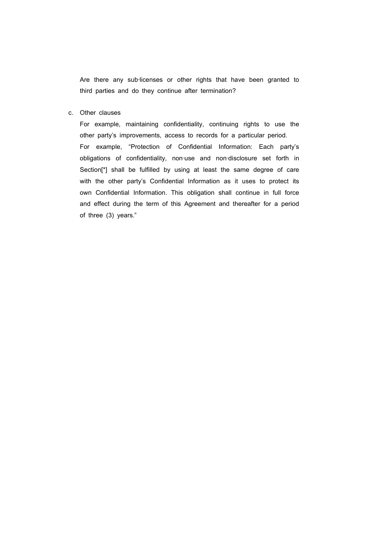Are there any sub-licenses or other rights that have been granted to third parties and do they continue after termination?

c. Other clauses

For example, maintaining confidentiality, continuing rights to use the other party's improvements, access to records for a particular period. For example, "Protection of Confidential Information: Each party's obligations of confidentiality, non‐use and non‐disclosure set forth in Section<sup>[\*</sup>] shall be fulfilled by using at least the same degree of care with the other party's Confidential Information as it uses to protect its own Confidential Information. This obligation shall continue in full force and effect during the term of this Agreement and thereafter for a period of three (3) years."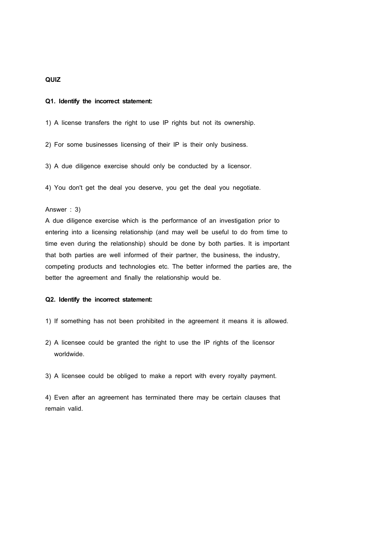### **QUIZ**

#### **Q1. Identify the incorrect statement:**

1) A license transfers the right to use IP rights but not its ownership.

2) For some businesses licensing of their IP is their only business.

3) A due diligence exercise should only be conducted by a licensor.

4) You don't get the deal you deserve, you get the deal you negotiate.

#### Answer : 3)

A due diligence exercise which is the performance of an investigation prior to entering into a licensing relationship (and may well be useful to do from time to time even during the relationship) should be done by both parties. It is important that both parties are well informed of their partner, the business, the industry, competing products and technologies etc. The better informed the parties are, the better the agreement and finally the relationship would be.

#### **Q2. Identify the incorrect statement:**

- 1) If something has not been prohibited in the agreement it means it is allowed.
- 2) A licensee could be granted the right to use the IP rights of the licensor worldwide.
- 3) A licensee could be obliged to make a report with every royalty payment.

4) Even after an agreement has terminated there may be certain clauses that remain valid.